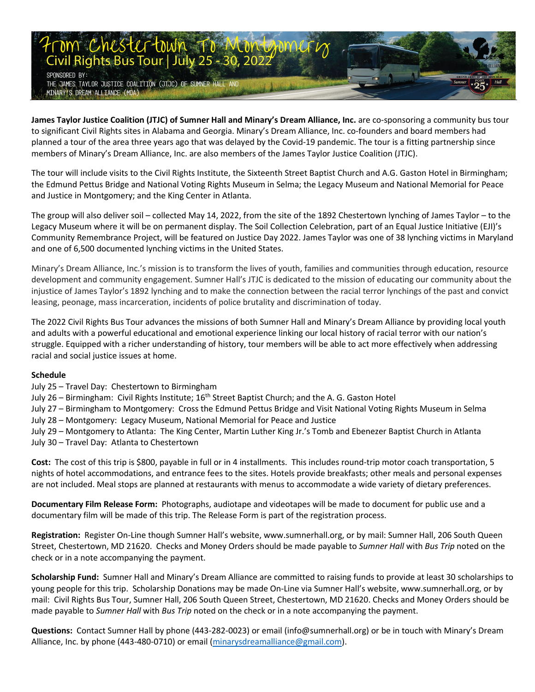

James Taylor Justice Coalition (JTJC) of Sumner Hall and Minary's Dream Alliance, Inc. are co-sponsoring a community bus tour to significant Civil Rights sites in Alabama and Georgia. Minary's Dream Alliance, Inc. co-founders and board members had planned a tour of the area three years ago that was delayed by the Covid-19 pandemic. The tour is a fitting partnership since members of Minary's Dream Alliance, Inc. are also members of the James Taylor Justice Coalition (JTJC).

The tour will include visits to the Civil Rights Institute, the Sixteenth Street Baptist Church and A.G. Gaston Hotel in Birmingham; the Edmund Pettus Bridge and National Voting Rights Museum in Selma; the Legacy Museum and National Memorial for Peace and Justice in Montgomery; and the King Center in Atlanta.

The group will also deliver soil – collected May 14, 2022, from the site of the 1892 Chestertown lynching of James Taylor – to the Legacy Museum where it will be on permanent display. The Soil Collection Celebration, part of an Equal Justice Initiative (EJI)'s Community Remembrance Project, will be featured on Justice Day 2022. James Taylor was one of 38 lynching victims in Maryland and one of 6,500 documented lynching victims in the United States.

Minary's Dream Alliance, Inc.'s mission is to transform the lives of youth, families and communities through education, resource development and community engagement. Sumner Hall's JTJC is dedicated to the mission of educating our community about the injustice of James Taylor's 1892 lynching and to make the connection between the racial terror lynchings of the past and convict leasing, peonage, mass incarceration, incidents of police brutality and discrimination of today.

The 2022 Civil Rights Bus Tour advances the missions of both Sumner Hall and Minary's Dream Alliance by providing local youth and adults with a powerful educational and emotional experience linking our local history of racial terror with our nation's struggle. Equipped with a richer understanding of history, tour members will be able to act more effectively when addressing racial and social justice issues at home.

#### **Schedule**

July 25 – Travel Day: Chestertown to Birmingham

July 26 – Birmingham: Civil Rights Institute; 16<sup>th</sup> Street Baptist Church; and the A. G. Gaston Hotel

July 27 – Birmingham to Montgomery: Cross the Edmund Pettus Bridge and Visit National Voting Rights Museum in Selma

July 28 – Montgomery: Legacy Museum, National Memorial for Peace and Justice

July 29 – Montgomery to Atlanta: The King Center, Martin Luther King Jr.'s Tomb and Ebenezer Baptist Church in Atlanta July 30 – Travel Day: Atlanta to Chestertown

**Cost:** The cost of this trip is \$800, payable in full or in 4 installments. This includes round-trip motor coach transportation, 5 nights of hotel accommodations, and entrance fees to the sites. Hotels provide breakfasts; other meals and personal expenses are not included. Meal stops are planned at restaurants with menus to accommodate a wide variety of dietary preferences.

**Documentary Film Release Form:** Photographs, audiotape and videotapes will be made to document for public use and a documentary film will be made of this trip. The Release Form is part of the registration process.

**Registration:** Register On-Line though Sumner Hall's website, [www.sumnerhall.org,](http://www.sumnerhall.org/) or by mail: Sumner Hall, 206 South Queen Street, Chestertown, MD 21620. Checks and Money Orders should be made payable to *Sumner Hall* with *Bus Trip* noted on the check or in a note accompanying the payment.

**Scholarship Fund:** Sumner Hall and Minary's Dream Alliance are committed to raising funds to provide at least 30 scholarships to young people for this trip. Scholarship Donations may be made On-Line via Sumner Hall's website, [www.sumnerhall.org,](http://www.sumnerhall.org/) or by mail: Civil Rights Bus Tour, Sumner Hall, 206 South Queen Street, Chestertown, MD 21620. Checks and Money Orders should be made payable to *Sumner Hall* with *Bus Trip* noted on the check or in a note accompanying the payment.

**Questions:** Contact Sumner Hall by phone (443-282-0023) or email [\(info@sumnerhall.org\)](mailto:info@sumnerhall.org) or be in touch with Minary's Dream Alliance, Inc. by phone (443-480-0710) or email (minarysdreamalliance@gmail.com).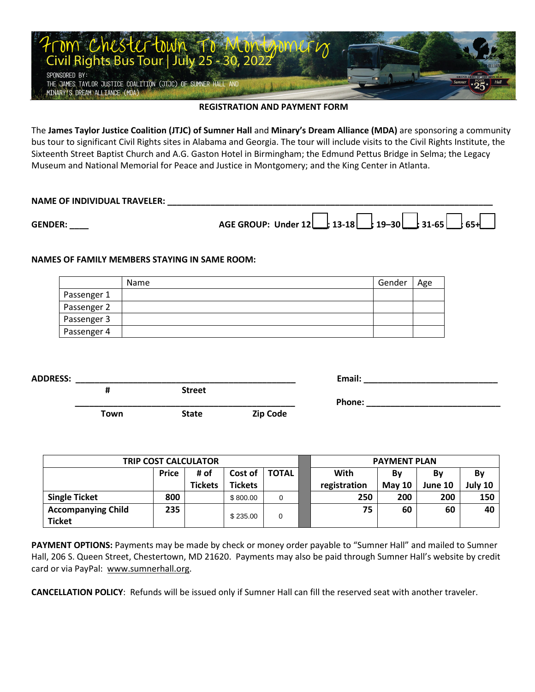

#### **REGISTRATION AND PAYMENT FORM**

The **James Taylor Justice Coalition (JTJC) of Sumner Hall** and **Minary's Dream Alliance (MDA)** are sponsoring a community bus tour to significant Civil Rights sites in Alabama and Georgia. The tour will include visits to the Civil Rights Institute, the Sixteenth Street Baptist Church and A.G. Gaston Hotel in Birmingham; the Edmund Pettus Bridge in Selma; the Legacy Museum and National Memorial for Peace and Justice in Montgomery; and the King Center in Atlanta.

# **NAME OF INDIVIDUAL TRAVELER: \_\_\_\_\_\_\_\_\_\_\_\_\_\_\_\_\_\_\_\_\_\_\_\_\_\_\_\_\_\_\_\_\_\_\_\_\_\_\_\_\_\_\_\_\_\_\_\_\_\_\_\_\_\_\_\_\_\_\_\_\_\_\_\_\_\_\_\_ GENDER: \_\_\_\_ AGE GROUP: Under 12 \_\_\_; 13-18 \_\_\_; 19–30 \_\_\_; 31-65 \_\_\_; 65+\_\_\_**

#### **NAMES OF FAMILY MEMBERS STAYING IN SAME ROOM:**

|             | Name | Gender | Age |
|-------------|------|--------|-----|
| Passenger 1 |      |        |     |
| Passenger 2 |      |        |     |
| Passenger 3 |      |        |     |
| Passenger 4 |      |        |     |

| <b>ADDRESS:</b> |             |               |                 | Email: |  |
|-----------------|-------------|---------------|-----------------|--------|--|
|                 | #           | <b>Street</b> |                 |        |  |
|                 |             |               |                 | Phone: |  |
|                 | <b>Town</b> | <b>State</b>  | <b>Zip Code</b> |        |  |

| <b>TRIP COST CALCULATOR</b> |              |                |                | <b>PAYMENT PLAN</b> |              |               |         |         |
|-----------------------------|--------------|----------------|----------------|---------------------|--------------|---------------|---------|---------|
|                             | <b>Price</b> | # of           | Cost of        | <b>TOTAL</b>        | With         | Bv            | Βv      | Bv      |
|                             |              | <b>Tickets</b> | <b>Tickets</b> |                     | registration | <b>May 10</b> | June 10 | July 10 |
| <b>Single Ticket</b>        | 800          |                | \$800.00       | 0                   | 250          | 200           | 200     | 150     |
| <b>Accompanying Child</b>   | 235          |                |                |                     | 75           | 60            | 60      | 40      |
| <b>Ticket</b>               |              |                | \$235.00       | 0                   |              |               |         |         |

**PAYMENT OPTIONS:** Payments may be made by check or money order payable to "Sumner Hall" and mailed to Sumner Hall, 206 S. Queen Street, Chestertown, MD 21620. Payments may also be paid through Sumner Hall's website by credit card or via PayPal: [www.sumnerhall.org.](http://www.sumnerhall.org/)

**CANCELLATION POLICY**: Refunds will be issued only if Sumner Hall can fill the reserved seat with another traveler.